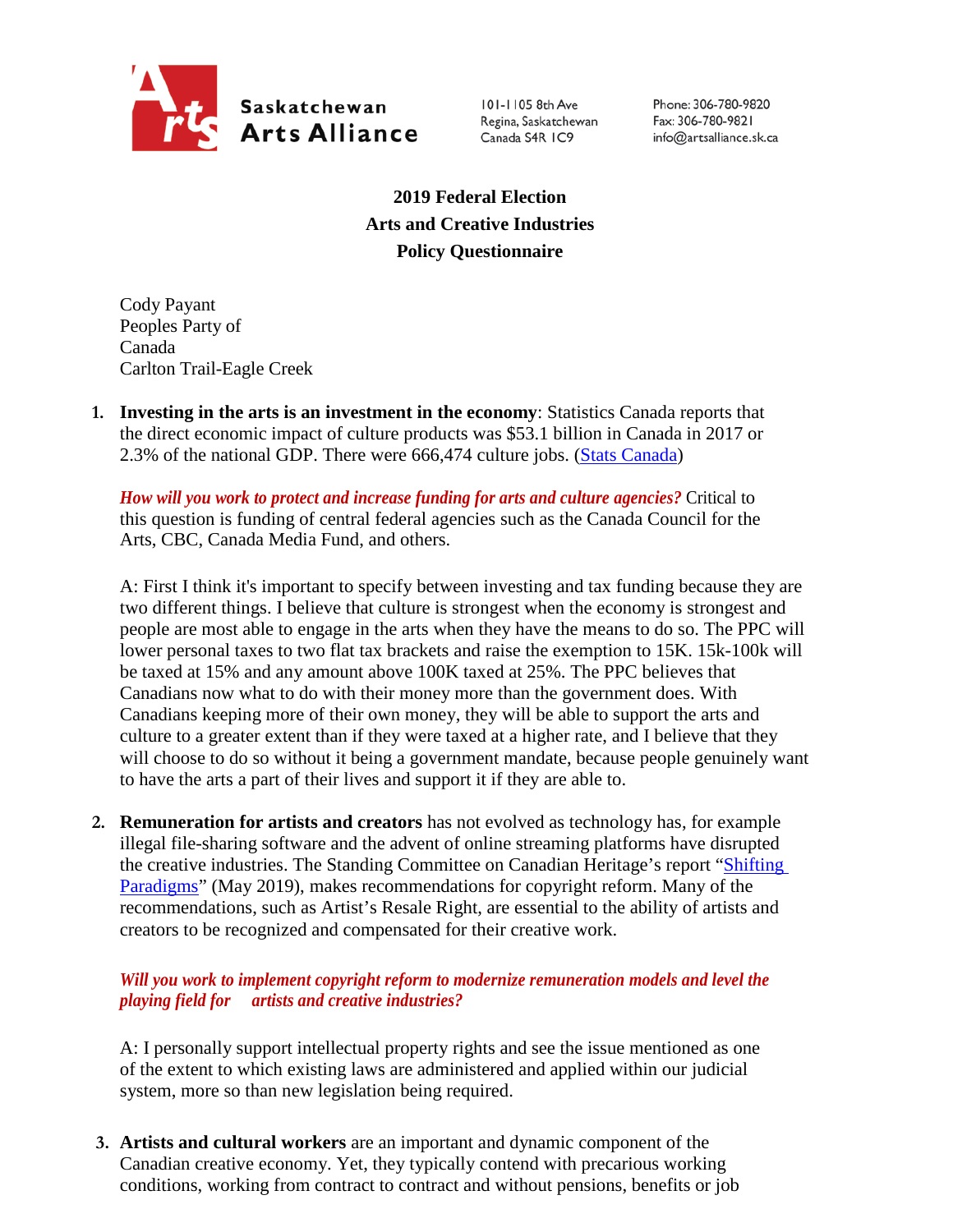

101-1105 8th Ave Regina, Saskatchewan Canada S4R IC9

Phone: 306-780-9820 Fax: 306-780-9821 info@artsalliance.sk.ca

**2019 Federal Election Arts and Creative Industries Policy Questionnaire**

Cody Payant Peoples Party of Canada Carlton Trail-Eagle Creek

**1. Investing in the arts is an investment in the economy**: Statistics Canada reports that the direct economic impact of culture products was \$53.1 billion in Canada in 2017 or 2.3% of the national GDP. There were 666,474 culture jobs. [\(Stats Canada\)](https://www.canada.ca/en/canadian-heritage/corporate/publications/general-publications/culture-satellite-account.html#a4-3)

*How will you work to protect and increase funding for arts and culture agencies?* Critical to this question is funding of central federal agencies such as the Canada Council for the Arts, CBC, Canada Media Fund, and others.

A: First I think it's important to specify between investing and tax funding because they are two different things. I believe that culture is strongest when the economy is strongest and people are most able to engage in the arts when they have the means to do so. The PPC will lower personal taxes to two flat tax brackets and raise the exemption to 15K. 15k-100k will be taxed at 15% and any amount above 100K taxed at 25%. The PPC believes that Canadians now what to do with their money more than the government does. With Canadians keeping more of their own money, they will be able to support the arts and culture to a greater extent than if they were taxed at a higher rate, and I believe that they will choose to do so without it being a government mandate, because people genuinely want to have the arts a part of their lives and support it if they are able to.

**2. Remuneration for artists and creators** has not evolved as technology has, for example illegal file-sharing software and the advent of online streaming platforms have disrupted the creative industries. The Standing Committee on Canadian Heritage's report ["Shifting](https://www.ourcommons.ca/Content/Committee/421/CHPC/Reports/RP10481650/chpcrp19/chpcrp19-e.pdf)  [Paradigms"](https://www.ourcommons.ca/Content/Committee/421/CHPC/Reports/RP10481650/chpcrp19/chpcrp19-e.pdf) (May 2019), makes recommendations for copyright reform. Many of the recommendations, such as Artist's Resale Right, are essential to the ability of artists and creators to be recognized and compensated for their creative work.

## *Will you work to implement copyright reform to modernize remuneration models and level the playing field for artists and creative industries?*

A: I personally support intellectual property rights and see the issue mentioned as one of the extent to which existing laws are administered and applied within our judicial system, more so than new legislation being required.

**3. Artists and cultural workers** are an important and dynamic component of the Canadian creative economy. Yet, they typically contend with precarious working conditions, working from contract to contract and without pensions, benefits or job